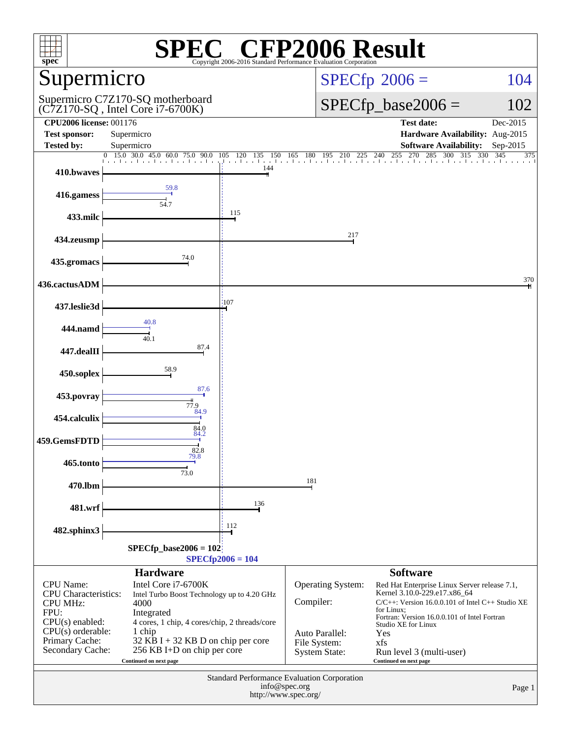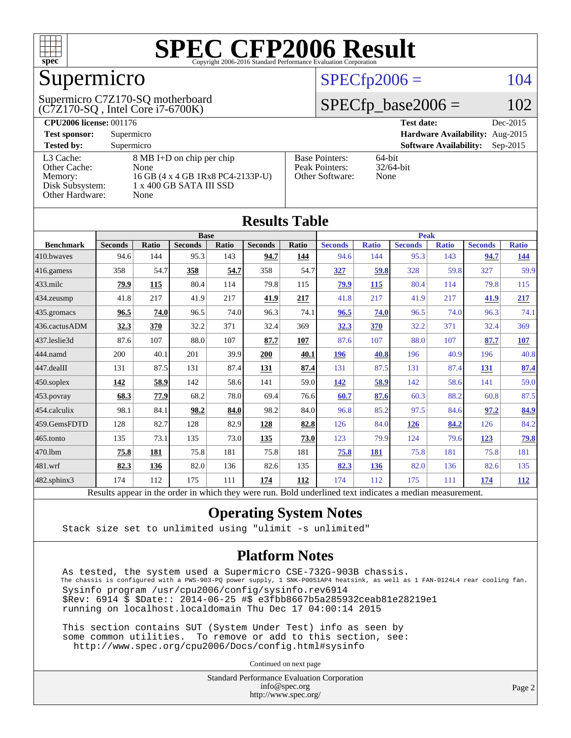

# Supermicro

(C7Z170-SQ , Intel Core i7-6700K) Supermicro C7Z170-SQ motherboard

## $SPECfp2006 = 104$  $SPECfp2006 = 104$

## $SPECfp\_base2006 = 102$

| <b>CPU2006 license: 001176</b> |                                   |                       | <b>Test date:</b><br>Dec-2015               |
|--------------------------------|-----------------------------------|-----------------------|---------------------------------------------|
| <b>Test sponsor:</b>           | Supermicro                        |                       | Hardware Availability: Aug-2015             |
| <b>Tested by:</b>              | Supermicro                        |                       | <b>Software Availability:</b><br>$Sep-2015$ |
| L3 Cache:                      | 8 MB I+D on chip per chip         | <b>Base Pointers:</b> | $64$ -bit                                   |
| Other Cache:                   | None                              | Peak Pointers:        | $32/64$ -bit                                |
| Memory:                        | 16 GB (4 x 4 GB 1Rx8 PC4-2133P-U) | Other Software:       | None                                        |
| Disk Subsystem:                | 1 x 400 GB SATA III SSD           |                       |                                             |
| <b>Other Hardware:</b>         | None                              |                       |                                             |

**[Results Table](http://www.spec.org/auto/cpu2006/Docs/result-fields.html#ResultsTable)**

| Results Table     |                                                                                                          |             |                |             |                |       |                |              |                |              |                |              |
|-------------------|----------------------------------------------------------------------------------------------------------|-------------|----------------|-------------|----------------|-------|----------------|--------------|----------------|--------------|----------------|--------------|
| <b>Base</b>       |                                                                                                          |             |                | <b>Peak</b> |                |       |                |              |                |              |                |              |
| <b>Benchmark</b>  | <b>Seconds</b>                                                                                           | Ratio       | <b>Seconds</b> | Ratio       | <b>Seconds</b> | Ratio | <b>Seconds</b> | <b>Ratio</b> | <b>Seconds</b> | <b>Ratio</b> | <b>Seconds</b> | <b>Ratio</b> |
| 410.bwayes        | 94.6                                                                                                     | 144         | 95.3           | 143         | 94.7           | 144   | 94.6           | 144          | 95.3           | 143          | 94.7           | <u>144</u>   |
| 416.gamess        | 358                                                                                                      | 54.7        | 358            | 54.7        | 358            | 54.7  | 327            | 59.8         | 328            | 59.8         | 327            | 59.9         |
| $433$ .milc       | 79.9                                                                                                     | 115         | 80.4           | 114         | 79.8           | 115   | 79.9           | 115          | 80.4           | 114          | 79.8           | 115          |
| 434.zeusmp        | 41.8                                                                                                     | 217         | 41.9           | 217         | 41.9           | 217   | 41.8           | 217          | 41.9           | 217          | 41.9           | 217          |
| 435 gromacs       | 96.5                                                                                                     | 74.0        | 96.5           | 74.0        | 96.3           | 74.1  | 96.5           | 74.0         | 96.5           | 74.0         | 96.3           | 74.1         |
| 436.cactusADM     | 32.3                                                                                                     | 370         | 32.2           | 371         | 32.4           | 369   | 32.3           | 370          | 32.2           | 371          | 32.4           | 369          |
| 437.leslie3d      | 87.6                                                                                                     | 107         | 88.0           | 107         | 87.7           | 107   | 87.6           | 107          | 88.0           | 107          | 87.7           | 107          |
| 444.namd          | 200                                                                                                      | 40.1        | 201            | 39.9        | 200            | 40.1  | 196            | 40.8         | 196            | 40.9         | 196            | 40.8         |
| 447.dealII        | 131                                                                                                      | 87.5        | 131            | 87.4        | 131            | 87.4  | 131            | 87.5         | 131            | 87.4         | 131            | 87.4         |
| 450.soplex        | 142                                                                                                      | <u>58.9</u> | 142            | 58.6        | 141            | 59.0  | <u>142</u>     | 58.9         | 142            | 58.6         | 141            | 59.0         |
| 453.povray        | 68.3                                                                                                     | 77.9        | 68.2           | 78.0        | 69.4           | 76.6  | 60.7           | 87.6         | 60.3           | 88.2         | 60.8           | 87.5         |
| 454.calculix      | 98.1                                                                                                     | 84.1        | 98.2           | 84.0        | 98.2           | 84.0  | 96.8           | 85.2         | 97.5           | 84.6         | 97.2           | 84.9         |
| 459.GemsFDTD      | 128                                                                                                      | 82.7        | 128            | 82.9        | 128            | 82.8  | 126            | 84.0         | 126            | 84.2         | 126            | 84.2         |
| 465.tonto         | 135                                                                                                      | 73.1        | 135            | 73.0        | 135            | 73.0  | 123            | 79.9         | 124            | 79.6         | <u>123</u>     | <u>79.8</u>  |
| 470.1bm           | 75.8                                                                                                     | 181         | 75.8           | 181         | 75.8           | 181   | 75.8           | 181          | 75.8           | 181          | 75.8           | 181          |
| 481.wrf           | 82.3                                                                                                     | 136         | 82.0           | 136         | 82.6           | 135   | 82.3           | <b>136</b>   | 82.0           | 136          | 82.6           | 135          |
| $482$ .sphinx $3$ | 174                                                                                                      | 112         | 175            | 111         | 174            | 112   | 174            | 112          | 175            | 111          | 174            | 112          |
|                   | Results appear in the order in which they were run. Bold underlined text indicates a median measurement. |             |                |             |                |       |                |              |                |              |                |              |

### **[Operating System Notes](http://www.spec.org/auto/cpu2006/Docs/result-fields.html#OperatingSystemNotes)**

Stack size set to unlimited using "ulimit -s unlimited"

### **[Platform Notes](http://www.spec.org/auto/cpu2006/Docs/result-fields.html#PlatformNotes)**

 As tested, the system used a Supermicro CSE-732G-903B chassis. The chassis is configured with a PWS-903-PQ power supply, 1 SNK-P0051AP4 heatsink, as well as 1 FAN-0124L4 rear cooling fan. Sysinfo program /usr/cpu2006/config/sysinfo.rev6914 \$Rev: 6914 \$ \$Date:: 2014-06-25 #\$ e3fbb8667b5a285932ceab81e28219e1 running on localhost.localdomain Thu Dec 17 04:00:14 2015

 This section contains SUT (System Under Test) info as seen by some common utilities. To remove or add to this section, see: <http://www.spec.org/cpu2006/Docs/config.html#sysinfo>

Continued on next page

Standard Performance Evaluation Corporation [info@spec.org](mailto:info@spec.org) <http://www.spec.org/>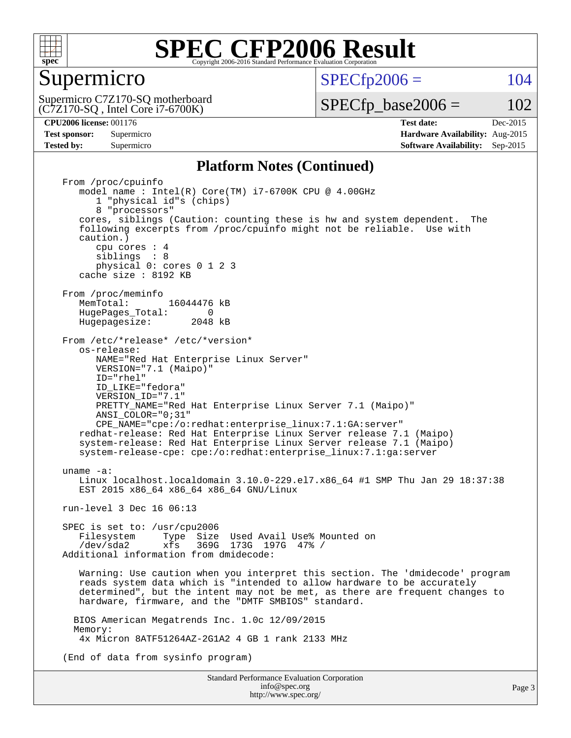

### Supermicro

 $SPECTp2006 = 104$ 

(C7Z170-SQ , Intel Core i7-6700K) Supermicro C7Z170-SQ motherboard  $SPECTp\_base2006 = 102$ 

**[Tested by:](http://www.spec.org/auto/cpu2006/Docs/result-fields.html#Testedby)** Supermicro **Supermicro [Software Availability:](http://www.spec.org/auto/cpu2006/Docs/result-fields.html#SoftwareAvailability)** Sep-2015

**[CPU2006 license:](http://www.spec.org/auto/cpu2006/Docs/result-fields.html#CPU2006license)** 001176 **[Test date:](http://www.spec.org/auto/cpu2006/Docs/result-fields.html#Testdate)** Dec-2015 **[Test sponsor:](http://www.spec.org/auto/cpu2006/Docs/result-fields.html#Testsponsor)** Supermicro **[Hardware Availability:](http://www.spec.org/auto/cpu2006/Docs/result-fields.html#HardwareAvailability)** Aug-2015

### **[Platform Notes \(Continued\)](http://www.spec.org/auto/cpu2006/Docs/result-fields.html#PlatformNotes)**

Standard Performance Evaluation Corporation From /proc/cpuinfo model name : Intel(R) Core(TM) i7-6700K CPU @ 4.00GHz 1 "physical id"s (chips) 8 "processors" cores, siblings (Caution: counting these is hw and system dependent. The following excerpts from /proc/cpuinfo might not be reliable. Use with caution.) cpu cores : 4 siblings : 8 physical 0: cores 0 1 2 3 cache size : 8192 KB From /proc/meminfo<br>MemTotal: 16044476 kB HugePages\_Total: 0<br>Hugepagesize: 2048 kB Hugepagesize: From /etc/\*release\* /etc/\*version\* os-release: NAME="Red Hat Enterprise Linux Server" VERSION="7.1 (Maipo)" ID="rhel" ID\_LIKE="fedora" VERSION\_ID="7.1" PRETTY NAME="Red Hat Enterprise Linux Server 7.1 (Maipo)" ANSI\_COLOR="0;31" CPE\_NAME="cpe:/o:redhat:enterprise\_linux:7.1:GA:server" redhat-release: Red Hat Enterprise Linux Server release 7.1 (Maipo) system-release: Red Hat Enterprise Linux Server release 7.1 (Maipo) system-release-cpe: cpe:/o:redhat:enterprise\_linux:7.1:ga:server uname -a: Linux localhost.localdomain 3.10.0-229.el7.x86\_64 #1 SMP Thu Jan 29 18:37:38 EST 2015 x86\_64 x86\_64 x86\_64 GNU/Linux run-level 3 Dec 16 06:13 SPEC is set to: /usr/cpu2006<br>Filesystem Type Size Filesystem Type Size Used Avail Use% Mounted on /dev/sda2 xfs 369G 173G 197G 47% / Additional information from dmidecode: Warning: Use caution when you interpret this section. The 'dmidecode' program reads system data which is "intended to allow hardware to be accurately determined", but the intent may not be met, as there are frequent changes to hardware, firmware, and the "DMTF SMBIOS" standard. BIOS American Megatrends Inc. 1.0c 12/09/2015 Memory: 4x Micron 8ATF51264AZ-2G1A2 4 GB 1 rank 2133 MHz (End of data from sysinfo program)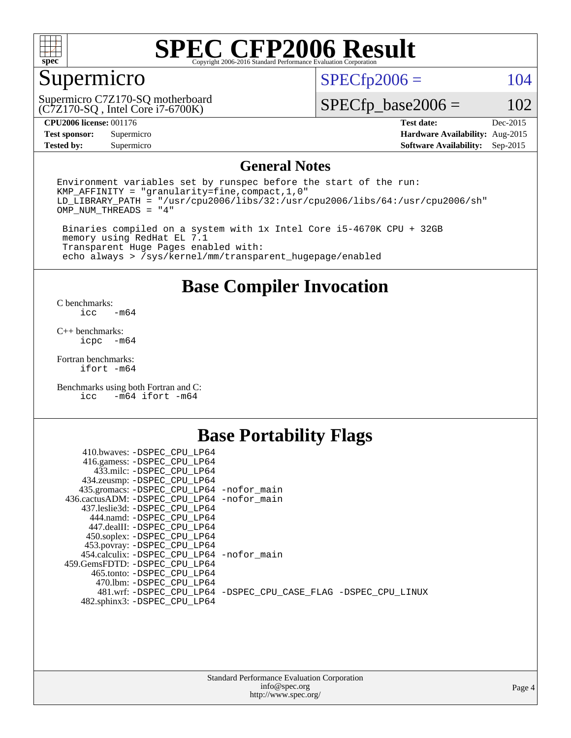

# Supermicro

(C7Z170-SQ , Intel Core i7-6700K) Supermicro C7Z170-SQ motherboard  $SPECfp2006 = 104$  $SPECfp2006 = 104$ 

 $SPECfp\_base2006 = 102$ 

**[CPU2006 license:](http://www.spec.org/auto/cpu2006/Docs/result-fields.html#CPU2006license)** 001176 **[Test date:](http://www.spec.org/auto/cpu2006/Docs/result-fields.html#Testdate)** Dec-2015

**[Tested by:](http://www.spec.org/auto/cpu2006/Docs/result-fields.html#Testedby)** Supermicro **Supermicro [Software Availability:](http://www.spec.org/auto/cpu2006/Docs/result-fields.html#SoftwareAvailability)** Sep-2015

**[Test sponsor:](http://www.spec.org/auto/cpu2006/Docs/result-fields.html#Testsponsor)** Supermicro **[Hardware Availability:](http://www.spec.org/auto/cpu2006/Docs/result-fields.html#HardwareAvailability)** Aug-2015

#### **[General Notes](http://www.spec.org/auto/cpu2006/Docs/result-fields.html#GeneralNotes)**

Environment variables set by runspec before the start of the run: KMP\_AFFINITY = "granularity=fine,compact,1,0"  $LD$ <sup>LIBRARY\_PATH = "/usr/cpu2006/libs/32:/usr/cpu2006/libs/64:/usr/cpu2006/sh"</sup> OMP\_NUM\_THREADS = "4"

 Binaries compiled on a system with 1x Intel Core i5-4670K CPU + 32GB memory using RedHat EL 7.1 Transparent Huge Pages enabled with: echo always > /sys/kernel/mm/transparent\_hugepage/enabled

### **[Base Compiler Invocation](http://www.spec.org/auto/cpu2006/Docs/result-fields.html#BaseCompilerInvocation)**

[C benchmarks](http://www.spec.org/auto/cpu2006/Docs/result-fields.html#Cbenchmarks):  $-m64$ 

[C++ benchmarks:](http://www.spec.org/auto/cpu2006/Docs/result-fields.html#CXXbenchmarks) [icpc -m64](http://www.spec.org/cpu2006/results/res2016q1/cpu2006-20151223-38490.flags.html#user_CXXbase_intel_icpc_64bit_bedb90c1146cab66620883ef4f41a67e)

[Fortran benchmarks](http://www.spec.org/auto/cpu2006/Docs/result-fields.html#Fortranbenchmarks): [ifort -m64](http://www.spec.org/cpu2006/results/res2016q1/cpu2006-20151223-38490.flags.html#user_FCbase_intel_ifort_64bit_ee9d0fb25645d0210d97eb0527dcc06e)

[Benchmarks using both Fortran and C](http://www.spec.org/auto/cpu2006/Docs/result-fields.html#BenchmarksusingbothFortranandC): [icc -m64](http://www.spec.org/cpu2006/results/res2016q1/cpu2006-20151223-38490.flags.html#user_CC_FCbase_intel_icc_64bit_0b7121f5ab7cfabee23d88897260401c) [ifort -m64](http://www.spec.org/cpu2006/results/res2016q1/cpu2006-20151223-38490.flags.html#user_CC_FCbase_intel_ifort_64bit_ee9d0fb25645d0210d97eb0527dcc06e)

## **[Base Portability Flags](http://www.spec.org/auto/cpu2006/Docs/result-fields.html#BasePortabilityFlags)**

| 410.bwaves: -DSPEC CPU LP64                 |                                                                |
|---------------------------------------------|----------------------------------------------------------------|
| 416.gamess: -DSPEC_CPU_LP64                 |                                                                |
| 433.milc: -DSPEC CPU LP64                   |                                                                |
| 434.zeusmp: -DSPEC_CPU_LP64                 |                                                                |
| 435.gromacs: -DSPEC_CPU_LP64 -nofor_main    |                                                                |
| 436.cactusADM: -DSPEC CPU LP64 -nofor main  |                                                                |
| 437.leslie3d: -DSPEC CPU LP64               |                                                                |
| 444.namd: -DSPEC CPU LP64                   |                                                                |
| 447.dealII: -DSPEC CPU LP64                 |                                                                |
| 450.soplex: -DSPEC_CPU_LP64                 |                                                                |
| 453.povray: -DSPEC_CPU_LP64                 |                                                                |
| 454.calculix: - DSPEC CPU LP64 - nofor main |                                                                |
| 459. GemsFDTD: - DSPEC CPU LP64             |                                                                |
| 465.tonto: - DSPEC CPU LP64                 |                                                                |
| 470.1bm: - DSPEC CPU LP64                   |                                                                |
|                                             | 481.wrf: -DSPEC_CPU_LP64 -DSPEC_CPU_CASE_FLAG -DSPEC_CPU_LINUX |
| 482.sphinx3: -DSPEC_CPU_LP64                |                                                                |
|                                             |                                                                |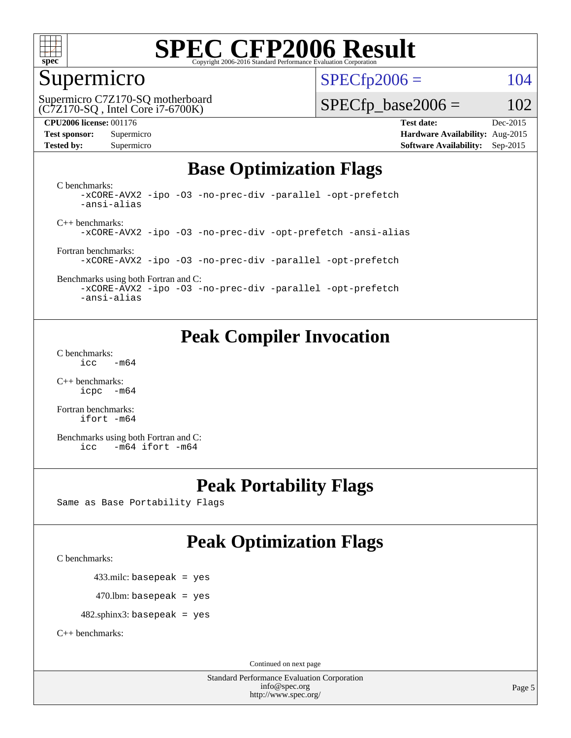

# Supermicro

 $SPECTp2006 = 104$ 

(C7Z170-SQ , Intel Core i7-6700K) Supermicro C7Z170-SQ motherboard

 $SPECTp\_base2006 = 102$ 

**[CPU2006 license:](http://www.spec.org/auto/cpu2006/Docs/result-fields.html#CPU2006license)** 001176 **[Test date:](http://www.spec.org/auto/cpu2006/Docs/result-fields.html#Testdate)** Dec-2015 **[Test sponsor:](http://www.spec.org/auto/cpu2006/Docs/result-fields.html#Testsponsor)** Supermicro **[Hardware Availability:](http://www.spec.org/auto/cpu2006/Docs/result-fields.html#HardwareAvailability)** Aug-2015 **[Tested by:](http://www.spec.org/auto/cpu2006/Docs/result-fields.html#Testedby)** Supermicro **Supermicro [Software Availability:](http://www.spec.org/auto/cpu2006/Docs/result-fields.html#SoftwareAvailability)** Sep-2015

# **[Base Optimization Flags](http://www.spec.org/auto/cpu2006/Docs/result-fields.html#BaseOptimizationFlags)**

[C benchmarks](http://www.spec.org/auto/cpu2006/Docs/result-fields.html#Cbenchmarks): [-xCORE-AVX2](http://www.spec.org/cpu2006/results/res2016q1/cpu2006-20151223-38490.flags.html#user_CCbase_f-xAVX2_5f5fc0cbe2c9f62c816d3e45806c70d7) [-ipo](http://www.spec.org/cpu2006/results/res2016q1/cpu2006-20151223-38490.flags.html#user_CCbase_f-ipo) [-O3](http://www.spec.org/cpu2006/results/res2016q1/cpu2006-20151223-38490.flags.html#user_CCbase_f-O3) [-no-prec-div](http://www.spec.org/cpu2006/results/res2016q1/cpu2006-20151223-38490.flags.html#user_CCbase_f-no-prec-div) [-parallel](http://www.spec.org/cpu2006/results/res2016q1/cpu2006-20151223-38490.flags.html#user_CCbase_f-parallel) [-opt-prefetch](http://www.spec.org/cpu2006/results/res2016q1/cpu2006-20151223-38490.flags.html#user_CCbase_f-opt-prefetch) [-ansi-alias](http://www.spec.org/cpu2006/results/res2016q1/cpu2006-20151223-38490.flags.html#user_CCbase_f-ansi-alias)

[C++ benchmarks:](http://www.spec.org/auto/cpu2006/Docs/result-fields.html#CXXbenchmarks) [-xCORE-AVX2](http://www.spec.org/cpu2006/results/res2016q1/cpu2006-20151223-38490.flags.html#user_CXXbase_f-xAVX2_5f5fc0cbe2c9f62c816d3e45806c70d7) [-ipo](http://www.spec.org/cpu2006/results/res2016q1/cpu2006-20151223-38490.flags.html#user_CXXbase_f-ipo) [-O3](http://www.spec.org/cpu2006/results/res2016q1/cpu2006-20151223-38490.flags.html#user_CXXbase_f-O3) [-no-prec-div](http://www.spec.org/cpu2006/results/res2016q1/cpu2006-20151223-38490.flags.html#user_CXXbase_f-no-prec-div) [-opt-prefetch](http://www.spec.org/cpu2006/results/res2016q1/cpu2006-20151223-38490.flags.html#user_CXXbase_f-opt-prefetch) [-ansi-alias](http://www.spec.org/cpu2006/results/res2016q1/cpu2006-20151223-38490.flags.html#user_CXXbase_f-ansi-alias)

[Fortran benchmarks](http://www.spec.org/auto/cpu2006/Docs/result-fields.html#Fortranbenchmarks): [-xCORE-AVX2](http://www.spec.org/cpu2006/results/res2016q1/cpu2006-20151223-38490.flags.html#user_FCbase_f-xAVX2_5f5fc0cbe2c9f62c816d3e45806c70d7) [-ipo](http://www.spec.org/cpu2006/results/res2016q1/cpu2006-20151223-38490.flags.html#user_FCbase_f-ipo) [-O3](http://www.spec.org/cpu2006/results/res2016q1/cpu2006-20151223-38490.flags.html#user_FCbase_f-O3) [-no-prec-div](http://www.spec.org/cpu2006/results/res2016q1/cpu2006-20151223-38490.flags.html#user_FCbase_f-no-prec-div) [-parallel](http://www.spec.org/cpu2006/results/res2016q1/cpu2006-20151223-38490.flags.html#user_FCbase_f-parallel) [-opt-prefetch](http://www.spec.org/cpu2006/results/res2016q1/cpu2006-20151223-38490.flags.html#user_FCbase_f-opt-prefetch)

[Benchmarks using both Fortran and C](http://www.spec.org/auto/cpu2006/Docs/result-fields.html#BenchmarksusingbothFortranandC): [-xCORE-AVX2](http://www.spec.org/cpu2006/results/res2016q1/cpu2006-20151223-38490.flags.html#user_CC_FCbase_f-xAVX2_5f5fc0cbe2c9f62c816d3e45806c70d7) [-ipo](http://www.spec.org/cpu2006/results/res2016q1/cpu2006-20151223-38490.flags.html#user_CC_FCbase_f-ipo) [-O3](http://www.spec.org/cpu2006/results/res2016q1/cpu2006-20151223-38490.flags.html#user_CC_FCbase_f-O3) [-no-prec-div](http://www.spec.org/cpu2006/results/res2016q1/cpu2006-20151223-38490.flags.html#user_CC_FCbase_f-no-prec-div) [-parallel](http://www.spec.org/cpu2006/results/res2016q1/cpu2006-20151223-38490.flags.html#user_CC_FCbase_f-parallel) [-opt-prefetch](http://www.spec.org/cpu2006/results/res2016q1/cpu2006-20151223-38490.flags.html#user_CC_FCbase_f-opt-prefetch)

[-ansi-alias](http://www.spec.org/cpu2006/results/res2016q1/cpu2006-20151223-38490.flags.html#user_CC_FCbase_f-ansi-alias)

# **[Peak Compiler Invocation](http://www.spec.org/auto/cpu2006/Docs/result-fields.html#PeakCompilerInvocation)**

[C benchmarks](http://www.spec.org/auto/cpu2006/Docs/result-fields.html#Cbenchmarks):  $\text{icc}$   $-\text{m64}$ 

[C++ benchmarks:](http://www.spec.org/auto/cpu2006/Docs/result-fields.html#CXXbenchmarks) [icpc -m64](http://www.spec.org/cpu2006/results/res2016q1/cpu2006-20151223-38490.flags.html#user_CXXpeak_intel_icpc_64bit_bedb90c1146cab66620883ef4f41a67e)

[Fortran benchmarks](http://www.spec.org/auto/cpu2006/Docs/result-fields.html#Fortranbenchmarks): [ifort -m64](http://www.spec.org/cpu2006/results/res2016q1/cpu2006-20151223-38490.flags.html#user_FCpeak_intel_ifort_64bit_ee9d0fb25645d0210d97eb0527dcc06e)

[Benchmarks using both Fortran and C](http://www.spec.org/auto/cpu2006/Docs/result-fields.html#BenchmarksusingbothFortranandC): [icc -m64](http://www.spec.org/cpu2006/results/res2016q1/cpu2006-20151223-38490.flags.html#user_CC_FCpeak_intel_icc_64bit_0b7121f5ab7cfabee23d88897260401c) [ifort -m64](http://www.spec.org/cpu2006/results/res2016q1/cpu2006-20151223-38490.flags.html#user_CC_FCpeak_intel_ifort_64bit_ee9d0fb25645d0210d97eb0527dcc06e)

# **[Peak Portability Flags](http://www.spec.org/auto/cpu2006/Docs/result-fields.html#PeakPortabilityFlags)**

Same as Base Portability Flags

# **[Peak Optimization Flags](http://www.spec.org/auto/cpu2006/Docs/result-fields.html#PeakOptimizationFlags)**

[C benchmarks](http://www.spec.org/auto/cpu2006/Docs/result-fields.html#Cbenchmarks):

433.milc: basepeak = yes

 $470$ .lbm: basepeak = yes

482.sphinx3: basepeak = yes

[C++ benchmarks:](http://www.spec.org/auto/cpu2006/Docs/result-fields.html#CXXbenchmarks)

Continued on next page

Standard Performance Evaluation Corporation [info@spec.org](mailto:info@spec.org) <http://www.spec.org/>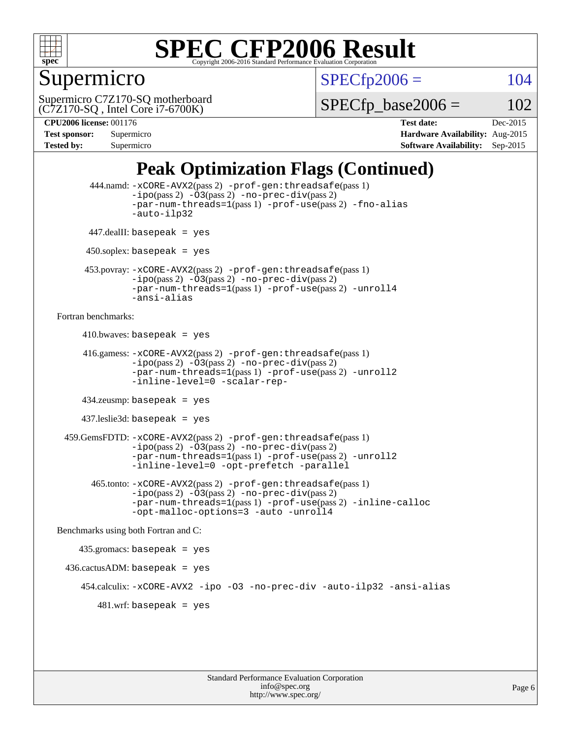

# Supermicro

 $SPECTp2006 = 104$ 

(C7Z170-SQ , Intel Core i7-6700K) Supermicro C7Z170-SQ motherboard  $SPECTp\_base2006 = 102$ 

**[CPU2006 license:](http://www.spec.org/auto/cpu2006/Docs/result-fields.html#CPU2006license)** 001176 **[Test date:](http://www.spec.org/auto/cpu2006/Docs/result-fields.html#Testdate)** Dec-2015 **[Test sponsor:](http://www.spec.org/auto/cpu2006/Docs/result-fields.html#Testsponsor)** Supermicro **[Hardware Availability:](http://www.spec.org/auto/cpu2006/Docs/result-fields.html#HardwareAvailability)** Aug-2015 **[Tested by:](http://www.spec.org/auto/cpu2006/Docs/result-fields.html#Testedby)** Supermicro **Supermicro [Software Availability:](http://www.spec.org/auto/cpu2006/Docs/result-fields.html#SoftwareAvailability)** Sep-2015

# **[Peak Optimization Flags \(Continued\)](http://www.spec.org/auto/cpu2006/Docs/result-fields.html#PeakOptimizationFlags)**

```
 444.namd: -xCORE-AVX2(pass 2) -prof-gen:threadsafe(pass 1)
               -ipo(pass 2) -03(pass 2) -no-prec-div(pass 2)
               -par-num-threads=1(pass 1) -prof-use(pass 2) -fno-alias
               -auto-ilp32
      447.dealII: basepeak = yes
      450.soplex: basepeak = yes
      453.povray: -xCORE-AVX2(pass 2) -prof-gen:threadsafe(pass 1)
               -no-prec-div(pass 2)-par-num-threads=1(pass 1) -prof-use(pass 2) -unroll4
               -ansi-alias
Fortran benchmarks: 
     410.bwaves: basepeak = yes 416.gamess: -xCORE-AVX2(pass 2) -prof-gen:threadsafe(pass 1)
               -ipo(pass 2) -O3(pass 2) -no-prec-div(pass 2)
               -par-num-threads=1(pass 1) -prof-use(pass 2) -unroll2
               -inline-level=0 -scalar-rep-
      434.zeusmp: basepeak = yes
     437.leslie3d: basepeak = yes
  459.GemsFDTD: -xCORE-AVX2(pass 2) -prof-gen:threadsafe(pass 1)
               -i\text{po}(pass 2) -\tilde{O}3(pass 2)-no-prec-div(pass 2)
               -par-num-threads=1(pass 1) -prof-use(pass 2) -unroll2
               -inline-level=0 -opt-prefetch -parallel
        465.tonto: -xCORE-AVX2(pass 2) -prof-gen:threadsafe(pass 1)
               -no-prec-div(pass 2)-par-num-threads=1(pass 1) -prof-use(pass 2) -inline-calloc
               -opt-malloc-options=3 -auto -unroll4
Benchmarks using both Fortran and C: 
     435.gromacs: basepeak = yes
 436.cactusADM:basepeak = yes 454.calculix: -xCORE-AVX2 -ipo -O3 -no-prec-div -auto-ilp32 -ansi-alias
        481.wrf: basepeak = yes
```